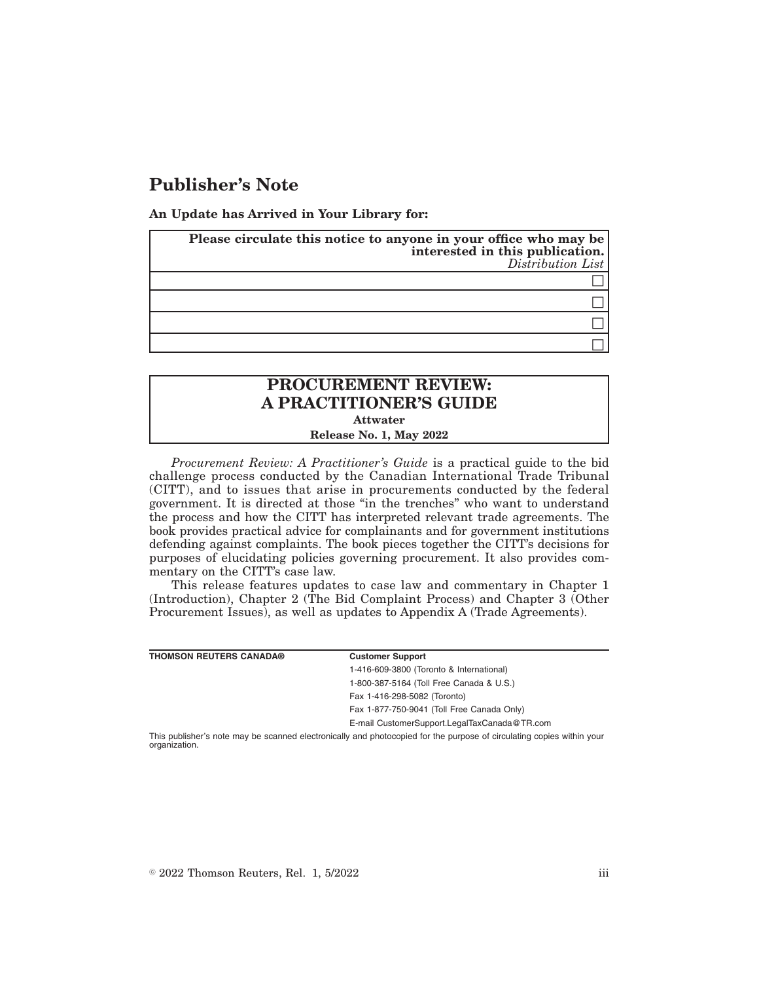## **Publisher's Note**

**An Update has Arrived in Your Library for:**

| Please circulate this notice to anyone in your office who may be<br>interested in this publication.<br>Distribution List |
|--------------------------------------------------------------------------------------------------------------------------|
|                                                                                                                          |
|                                                                                                                          |
|                                                                                                                          |
|                                                                                                                          |

## **PROCUREMENT REVIEW: A PRACTITIONER'S GUIDE Attwater**

**Release No. 1, May 2022**

*Procurement Review: A Practitioner's Guide* is a practical guide to the bid challenge process conducted by the Canadian International Trade Tribunal (CITT), and to issues that arise in procurements conducted by the federal government. It is directed at those "in the trenches" who want to understand the process and how the CITT has interpreted relevant trade agreements. The book provides practical advice for complainants and for government institutions defending against complaints. The book pieces together the CITT's decisions for purposes of elucidating policies governing procurement. It also provides commentary on the CITT's case law.

This release features updates to case law and commentary in Chapter 1 (Introduction), Chapter 2 (The Bid Complaint Process) and Chapter 3 (Other Procurement Issues), as well as updates to Appendix A (Trade Agreements).

| <b>THOMSON REUTERS CANADA®</b>                                                                                        | <b>Customer Support</b>                      |  |
|-----------------------------------------------------------------------------------------------------------------------|----------------------------------------------|--|
|                                                                                                                       | 1-416-609-3800 (Toronto & International)     |  |
|                                                                                                                       | 1-800-387-5164 (Toll Free Canada & U.S.)     |  |
|                                                                                                                       | Fax 1-416-298-5082 (Toronto)                 |  |
|                                                                                                                       | Fax 1-877-750-9041 (Toll Free Canada Only)   |  |
|                                                                                                                       | E-mail CustomerSupport.LegalTaxCanada@TR.com |  |
| This publisher's note may be scanned electronically and photocopied for the purpose of circulating copies within your |                                              |  |

This publisher's note may be scanned electronically and photocopied for the purpose of circulating copies within your organization.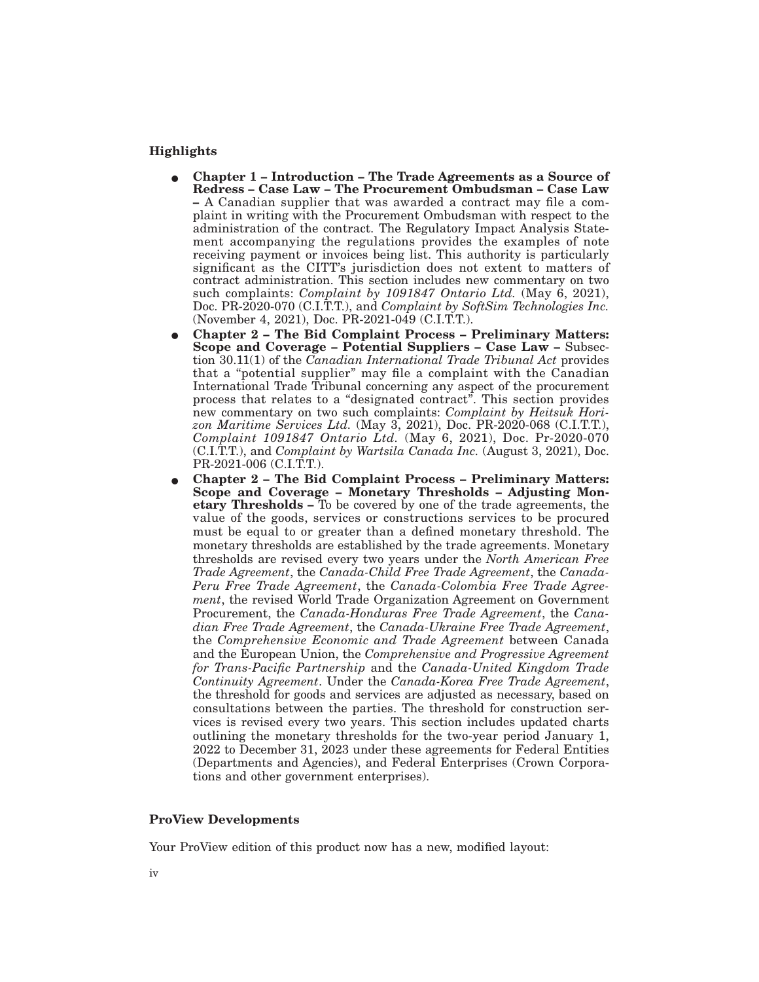## **Highlights**

- E **Chapter 1 Introduction The Trade Agreements as a Source of Redress – Case Law – The Procurement Ombudsman – Case Law –** A Canadian supplier that was awarded a contract may file a complaint in writing with the Procurement Ombudsman with respect to the administration of the contract. The Regulatory Impact Analysis Statement accompanying the regulations provides the examples of note receiving payment or invoices being list. This authority is particularly significant as the CITT's jurisdiction does not extent to matters of contract administration. This section includes new commentary on two such complaints: *Complaint by 1091847 Ontario Ltd.* (May 6, 2021), Doc. PR-2020-070 (C.I.T.T.), and *Complaint by SoftSim Technologies Inc.* (November 4, 2021), Doc. PR-2021-049 (C.I.T.T.).
- E **Chapter 2 The Bid Complaint Process Preliminary Matters: Scope and Coverage – Potential Suppliers – Case Law –** Subsection 30.11(1) of the *Canadian International Trade Tribunal Act* provides that a "potential supplier" may file a complaint with the Canadian International Trade Tribunal concerning any aspect of the procurement process that relates to a "designated contract". This section provides new commentary on two such complaints: *Complaint by Heitsuk Horizon Maritime Services Ltd.* (May 3, 2021), Doc. PR-2020-068 (C.I.T.T.), *Complaint 1091847 Ontario Ltd.* (May 6, 2021), Doc. Pr-2020-070 (C.I.T.T.), and *Complaint by Wartsila Canada Inc.* (August 3, 2021), Doc. PR-2021-006 (C.I.T.T.).
- E **Chapter 2 The Bid Complaint Process Preliminary Matters: Scope and Coverage – Monetary Thresholds – Adjusting Monetary Thresholds –** To be covered by one of the trade agreements, the value of the goods, services or constructions services to be procured must be equal to or greater than a defined monetary threshold. The monetary thresholds are established by the trade agreements. Monetary thresholds are revised every two years under the *North American Free Trade Agreement*, the *Canada-Child Free Trade Agreement*, the *Canada-Peru Free Trade Agreement*, the *Canada-Colombia Free Trade Agreement*, the revised World Trade Organization Agreement on Government Procurement, the *Canada-Honduras Free Trade Agreement*, the *Canadian Free Trade Agreement*, the *Canada-Ukraine Free Trade Agreement*, the *Comprehensive Economic and Trade Agreement* between Canada and the European Union, the *Comprehensive and Progressive Agreement for Trans-Pacific Partnership* and the *Canada-United Kingdom Trade Continuity Agreement*. Under the *Canada-Korea Free Trade Agreement*, the threshold for goods and services are adjusted as necessary, based on consultations between the parties. The threshold for construction services is revised every two years. This section includes updated charts outlining the monetary thresholds for the two-year period January 1, 2022 to December 31, 2023 under these agreements for Federal Entities (Departments and Agencies), and Federal Enterprises (Crown Corporations and other government enterprises).

## **ProView Developments**

Your ProView edition of this product now has a new, modified layout: